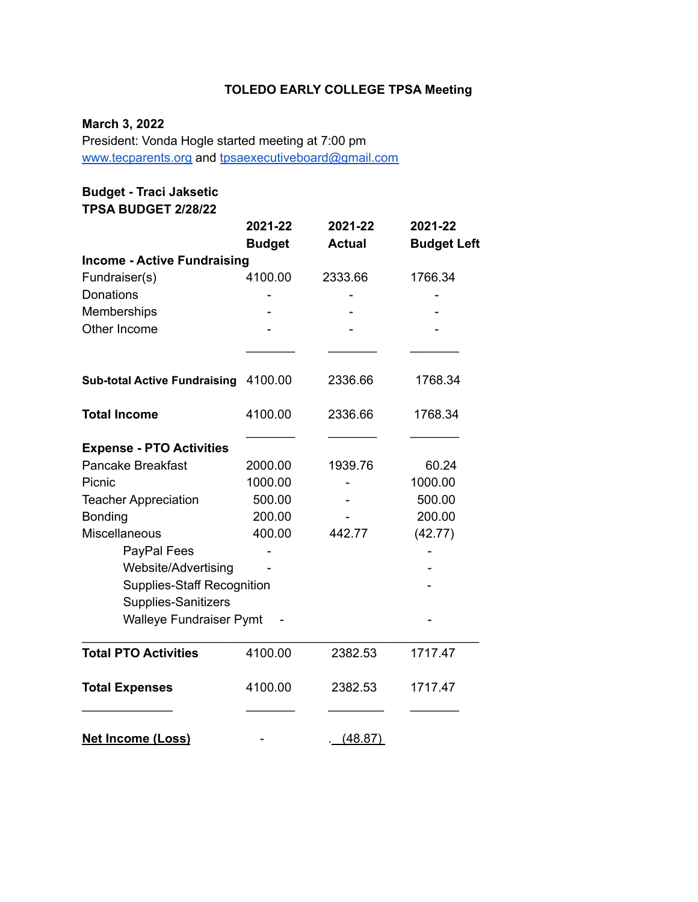# **TOLEDO EARLY COLLEGE TPSA Meeting**

## **March 3, 2022**

President: Vonda Hogle started meeting at 7:00 pm [www.tecparents.org](http://www.tecpartents.org) and [tpsaexecutiveboard@gmail.com](mailto:tpsaexeutiveboard@gmail.com)

# **Budget - Traci Jaksetic**

**TPSA BUDGET 2/28/22**

|                                     | 2021-22       | 2021-22       | 2021-22            |  |
|-------------------------------------|---------------|---------------|--------------------|--|
|                                     | <b>Budget</b> | <b>Actual</b> | <b>Budget Left</b> |  |
| <b>Income - Active Fundraising</b>  |               |               |                    |  |
| Fundraiser(s)                       | 4100.00       | 2333.66       | 1766.34            |  |
| Donations                           |               |               |                    |  |
| Memberships                         |               |               |                    |  |
| Other Income                        |               |               |                    |  |
|                                     |               |               |                    |  |
| <b>Sub-total Active Fundraising</b> | 4100.00       | 2336.66       | 1768.34            |  |
| <b>Total Income</b>                 | 4100.00       | 2336.66       | 1768.34            |  |
| <b>Expense - PTO Activities</b>     |               |               |                    |  |
| <b>Pancake Breakfast</b>            | 2000.00       | 1939.76       | 60.24              |  |
| Picnic                              | 1000.00       |               | 1000.00            |  |
| <b>Teacher Appreciation</b>         | 500.00        |               | 500.00             |  |
| Bonding                             | 200.00        |               | 200.00             |  |
| <b>Miscellaneous</b>                | 400.00        | 442.77        | (42.77)            |  |
| PayPal Fees                         |               |               |                    |  |
| Website/Advertising                 |               |               |                    |  |
| <b>Supplies-Staff Recognition</b>   |               |               |                    |  |
| Supplies-Sanitizers                 |               |               |                    |  |
| <b>Walleye Fundraiser Pymt</b>      |               |               |                    |  |
| <b>Total PTO Activities</b>         | 4100.00       | 2382.53       | 1717.47            |  |
| <b>Total Expenses</b>               | 4100.00       | 2382.53       | 1717.47            |  |
| <b>Net Income (Loss)</b>            |               | (48.87)       |                    |  |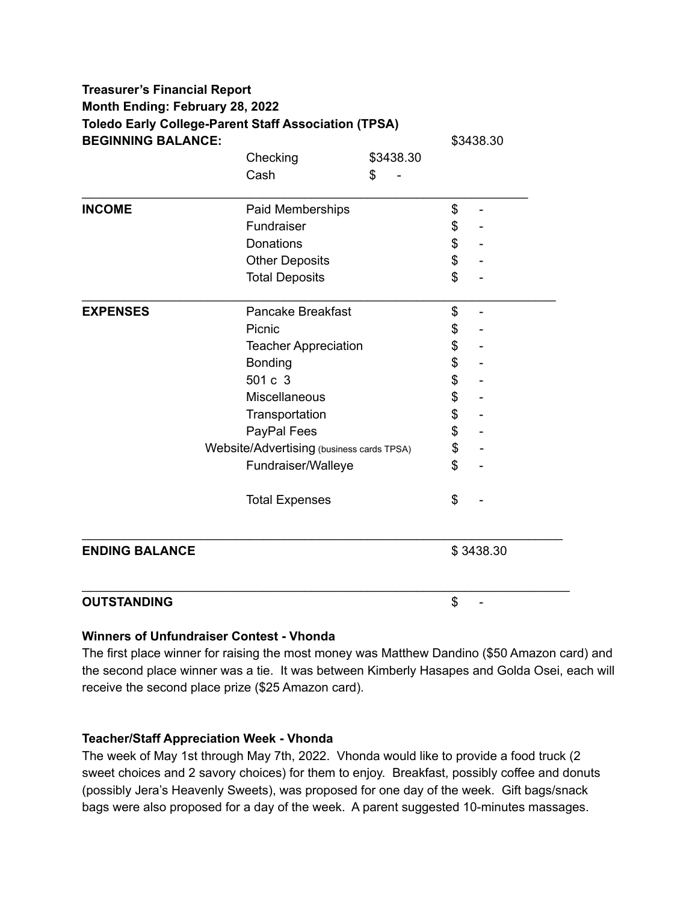| <b>Toledo Early College-Parent Staff Association (TPSA)</b><br><b>BEGINNING BALANCE:</b> |                             |           | \$3438.30 |  |
|------------------------------------------------------------------------------------------|-----------------------------|-----------|-----------|--|
|                                                                                          | Checking                    | \$3438.30 |           |  |
|                                                                                          | Cash                        | \$        |           |  |
| <b>INCOME</b>                                                                            | Paid Memberships            |           | \$        |  |
|                                                                                          | Fundraiser                  |           | \$        |  |
|                                                                                          | <b>Donations</b>            |           | \$        |  |
|                                                                                          | <b>Other Deposits</b>       |           | \$        |  |
|                                                                                          | <b>Total Deposits</b>       |           | \$        |  |
| <b>EXPENSES</b>                                                                          | <b>Pancake Breakfast</b>    |           | \$<br>÷,  |  |
|                                                                                          | Picnic                      |           | \$        |  |
|                                                                                          | <b>Teacher Appreciation</b> |           | \$        |  |
|                                                                                          | Bonding                     |           | \$        |  |
|                                                                                          | 501 c 3                     |           | \$        |  |
|                                                                                          | Miscellaneous               |           | \$        |  |
|                                                                                          | Transportation              |           | \$        |  |
|                                                                                          | PayPal Fees                 |           | \$        |  |
| Website/Advertising (business cards TPSA)                                                |                             |           | \$        |  |
|                                                                                          | Fundraiser/Walleye          |           | \$        |  |
|                                                                                          | <b>Total Expenses</b>       |           | \$        |  |
| <b>ENDING BALANCE</b>                                                                    |                             |           | \$3438.30 |  |
| <b>OUTSTANDING</b>                                                                       |                             |           | \$        |  |

#### **Winners of Unfundraiser Contest - Vhonda**

The first place winner for raising the most money was Matthew Dandino (\$50 Amazon card) and the second place winner was a tie. It was between Kimberly Hasapes and Golda Osei, each will receive the second place prize (\$25 Amazon card).

#### **Teacher/Staff Appreciation Week - Vhonda**

The week of May 1st through May 7th, 2022. Vhonda would like to provide a food truck (2 sweet choices and 2 savory choices) for them to enjoy. Breakfast, possibly coffee and donuts (possibly Jera's Heavenly Sweets), was proposed for one day of the week. Gift bags/snack bags were also proposed for a day of the week. A parent suggested 10-minutes massages.